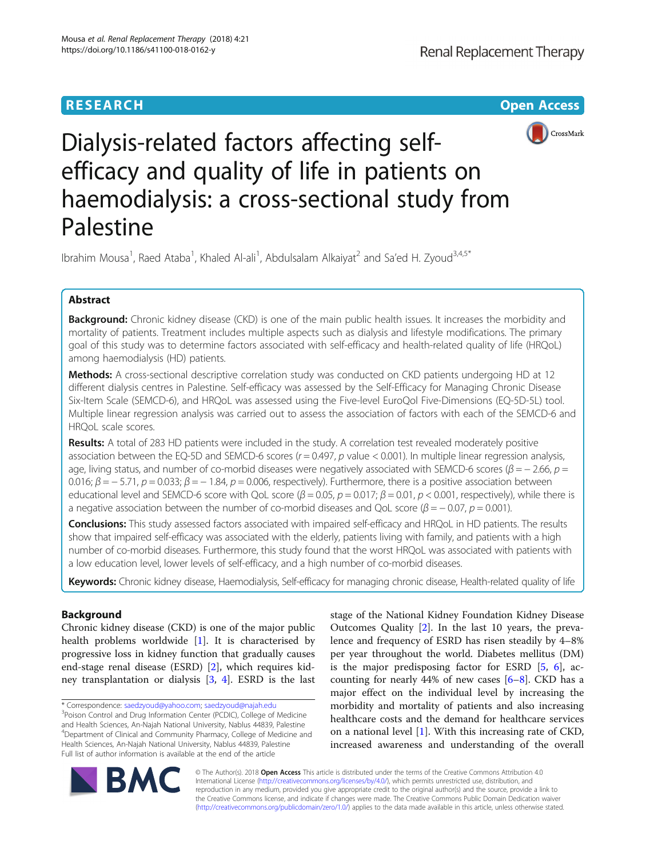# **RESEARCH CHEAR CHEAR CHEAR CHEAR CHEAR CHEAR CHEAR CHEAR CHEAR CHEAR CHEAR CHEAR CHEAR CHEAR CHEAR CHEAR CHEAR**



# Dialysis-related factors affecting selfefficacy and quality of life in patients on haemodialysis: a cross-sectional study from Palestine

Ibrahim Mousa<sup>1</sup>, Raed Ataba<sup>1</sup>, Khaled Al-ali<sup>1</sup>, Abdulsalam Alkaiyat<sup>2</sup> and Sa'ed H. Zyoud<sup>3,4,5\*</sup>

# Abstract

Background: Chronic kidney disease (CKD) is one of the main public health issues. It increases the morbidity and mortality of patients. Treatment includes multiple aspects such as dialysis and lifestyle modifications. The primary goal of this study was to determine factors associated with self-efficacy and health-related quality of life (HRQoL) among haemodialysis (HD) patients.

Methods: A cross-sectional descriptive correlation study was conducted on CKD patients undergoing HD at 12 different dialysis centres in Palestine. Self-efficacy was assessed by the Self-Efficacy for Managing Chronic Disease Six-Item Scale (SEMCD-6), and HRQoL was assessed using the Five-level EuroQol Five-Dimensions (EQ-5D-5L) tool. Multiple linear regression analysis was carried out to assess the association of factors with each of the SEMCD-6 and HRQoL scale scores.

Results: A total of 283 HD patients were included in the study. A correlation test revealed moderately positive association between the EQ-5D and SEMCD-6 scores  $(r = 0.497, p$  value  $< 0.001$ ). In multiple linear regression analysis, age, living status, and number of co-morbid diseases were negatively associated with SEMCD-6 scores ( $\beta$  =  $-$  2.66,  $p$  = 0.016;  $\beta$  = - 5.71, p = 0.033;  $\beta$  = -1.84, p = 0.006, respectively). Furthermore, there is a positive association between educational level and SEMCD-6 score with QoL score ( $β = 0.05$ ,  $p = 0.01$ ;  $β = 0.01$ ,  $p < 0.001$ , respectively), while there is a negative association between the number of co-morbid diseases and QoL score ( $\beta$  = -0.07,  $p$  = 0.001).

Conclusions: This study assessed factors associated with impaired self-efficacy and HRQoL in HD patients. The results show that impaired self-efficacy was associated with the elderly, patients living with family, and patients with a high number of co-morbid diseases. Furthermore, this study found that the worst HRQoL was associated with patients with a low education level, lower levels of self-efficacy, and a high number of co-morbid diseases.

Keywords: Chronic kidney disease, Haemodialysis, Self-efficacy for managing chronic disease, Health-related quality of life

# Background

Chronic kidney disease (CKD) is one of the major public health problems worldwide [\[1](#page-10-0)]. It is characterised by progressive loss in kidney function that gradually causes end-stage renal disease (ESRD) [\[2](#page-10-0)], which requires kidney transplantation or dialysis [[3,](#page-10-0) [4](#page-10-0)]. ESRD is the last

stage of the National Kidney Foundation Kidney Disease Outcomes Quality [\[2](#page-10-0)]. In the last 10 years, the prevalence and frequency of ESRD has risen steadily by 4–8% per year throughout the world. Diabetes mellitus (DM) is the major predisposing factor for ESRD [[5](#page-10-0), [6\]](#page-10-0), accounting for nearly 44% of new cases [\[6](#page-10-0)–[8\]](#page-10-0). CKD has a major effect on the individual level by increasing the morbidity and mortality of patients and also increasing healthcare costs and the demand for healthcare services on a national level [[1\]](#page-10-0). With this increasing rate of CKD, increased awareness and understanding of the overall



© The Author(s). 2018 Open Access This article is distributed under the terms of the Creative Commons Attribution 4.0 International License [\(http://creativecommons.org/licenses/by/4.0/](http://creativecommons.org/licenses/by/4.0/)), which permits unrestricted use, distribution, and reproduction in any medium, provided you give appropriate credit to the original author(s) and the source, provide a link to the Creative Commons license, and indicate if changes were made. The Creative Commons Public Domain Dedication waiver [\(http://creativecommons.org/publicdomain/zero/1.0/](http://creativecommons.org/publicdomain/zero/1.0/)) applies to the data made available in this article, unless otherwise stated.

<sup>\*</sup> Correspondence: [saedzyoud@yahoo.com](mailto:saedzyoud@yahoo.com); [saedzyoud@najah.edu](mailto:saedzyoud@najah.edu) <sup>3</sup>

<sup>&</sup>lt;sup>3</sup>Poison Control and Drug Information Center (PCDIC), College of Medicine and Health Sciences, An-Najah National University, Nablus 44839, Palestine 4 Department of Clinical and Community Pharmacy, College of Medicine and Health Sciences, An-Najah National University, Nablus 44839, Palestine Full list of author information is available at the end of the article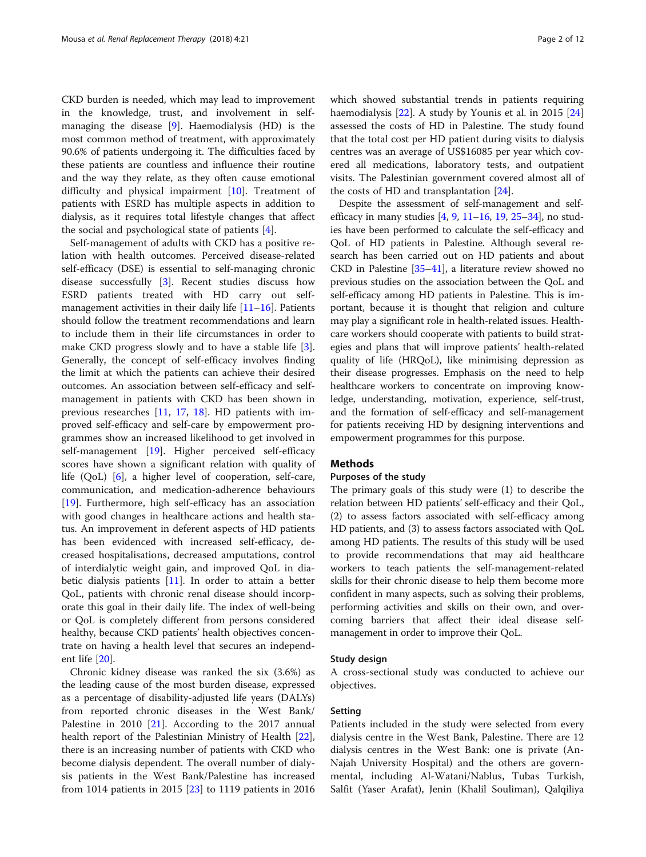CKD burden is needed, which may lead to improvement in the knowledge, trust, and involvement in selfmanaging the disease [\[9](#page-10-0)]. Haemodialysis (HD) is the most common method of treatment, with approximately 90.6% of patients undergoing it. The difficulties faced by these patients are countless and influence their routine and the way they relate, as they often cause emotional difficulty and physical impairment [\[10\]](#page-10-0). Treatment of patients with ESRD has multiple aspects in addition to dialysis, as it requires total lifestyle changes that affect the social and psychological state of patients  $[4]$  $[4]$ .

Self-management of adults with CKD has a positive relation with health outcomes. Perceived disease-related self-efficacy (DSE) is essential to self-managing chronic disease successfully [[3\]](#page-10-0). Recent studies discuss how ESRD patients treated with HD carry out selfmanagement activities in their daily life  $[11–16]$  $[11–16]$  $[11–16]$ . Patients should follow the treatment recommendations and learn to include them in their life circumstances in order to make CKD progress slowly and to have a stable life [\[3](#page-10-0)]. Generally, the concept of self-efficacy involves finding the limit at which the patients can achieve their desired outcomes. An association between self-efficacy and selfmanagement in patients with CKD has been shown in previous researches [[11](#page-10-0), [17,](#page-10-0) [18](#page-10-0)]. HD patients with improved self-efficacy and self-care by empowerment programmes show an increased likelihood to get involved in self-management [[19](#page-10-0)]. Higher perceived self-efficacy scores have shown a significant relation with quality of life (QoL) [[6\]](#page-10-0), a higher level of cooperation, self-care, communication, and medication-adherence behaviours [[19\]](#page-10-0). Furthermore, high self-efficacy has an association with good changes in healthcare actions and health status. An improvement in deferent aspects of HD patients has been evidenced with increased self-efficacy, decreased hospitalisations, decreased amputations, control of interdialytic weight gain, and improved QoL in diabetic dialysis patients [[11](#page-10-0)]. In order to attain a better QoL, patients with chronic renal disease should incorporate this goal in their daily life. The index of well-being or QoL is completely different from persons considered healthy, because CKD patients' health objectives concentrate on having a health level that secures an independent life [\[20\]](#page-10-0).

Chronic kidney disease was ranked the six (3.6%) as the leading cause of the most burden disease, expressed as a percentage of disability-adjusted life years (DALYs) from reported chronic diseases in the West Bank/ Palestine in 2010  $[21]$ . According to the 2017 annual health report of the Palestinian Ministry of Health [\[22](#page-10-0)], there is an increasing number of patients with CKD who become dialysis dependent. The overall number of dialysis patients in the West Bank/Palestine has increased from 1014 patients in 2015 [[23](#page-10-0)] to 1119 patients in 2016

which showed substantial trends in patients requiring haemodialysis [[22\]](#page-10-0). A study by Younis et al. in 2015 [[24](#page-10-0)] assessed the costs of HD in Palestine. The study found that the total cost per HD patient during visits to dialysis centres was an average of US\$16085 per year which covered all medications, laboratory tests, and outpatient visits. The Palestinian government covered almost all of the costs of HD and transplantation [\[24](#page-10-0)].

Despite the assessment of self-management and selfefficacy in many studies  $[4, 9, 11-16, 19, 25-34]$  $[4, 9, 11-16, 19, 25-34]$  $[4, 9, 11-16, 19, 25-34]$  $[4, 9, 11-16, 19, 25-34]$  $[4, 9, 11-16, 19, 25-34]$  $[4, 9, 11-16, 19, 25-34]$  $[4, 9, 11-16, 19, 25-34]$  $[4, 9, 11-16, 19, 25-34]$  $[4, 9, 11-16, 19, 25-34]$  $[4, 9, 11-16, 19, 25-34]$  $[4, 9, 11-16, 19, 25-34]$  $[4, 9, 11-16, 19, 25-34]$  $[4, 9, 11-16, 19, 25-34]$  $[4, 9, 11-16, 19, 25-34]$  $[4, 9, 11-16, 19, 25-34]$ , no studies have been performed to calculate the self-efficacy and QoL of HD patients in Palestine. Although several research has been carried out on HD patients and about CKD in Palestine [\[35](#page-10-0)–[41](#page-11-0)], a literature review showed no previous studies on the association between the QoL and self-efficacy among HD patients in Palestine. This is important, because it is thought that religion and culture may play a significant role in health-related issues. Healthcare workers should cooperate with patients to build strategies and plans that will improve patients' health-related quality of life (HRQoL), like minimising depression as their disease progresses. Emphasis on the need to help healthcare workers to concentrate on improving knowledge, understanding, motivation, experience, self-trust, and the formation of self-efficacy and self-management for patients receiving HD by designing interventions and empowerment programmes for this purpose.

# **Methods**

#### Purposes of the study

The primary goals of this study were (1) to describe the relation between HD patients' self-efficacy and their QoL, (2) to assess factors associated with self-efficacy among HD patients, and (3) to assess factors associated with QoL among HD patients. The results of this study will be used to provide recommendations that may aid healthcare workers to teach patients the self-management-related skills for their chronic disease to help them become more confident in many aspects, such as solving their problems, performing activities and skills on their own, and overcoming barriers that affect their ideal disease selfmanagement in order to improve their QoL.

#### Study design

A cross-sectional study was conducted to achieve our objectives.

#### Setting

Patients included in the study were selected from every dialysis centre in the West Bank, Palestine. There are 12 dialysis centres in the West Bank: one is private (An-Najah University Hospital) and the others are governmental, including Al-Watani/Nablus, Tubas Turkish, Salfit (Yaser Arafat), Jenin (Khalil Souliman), Qalqiliya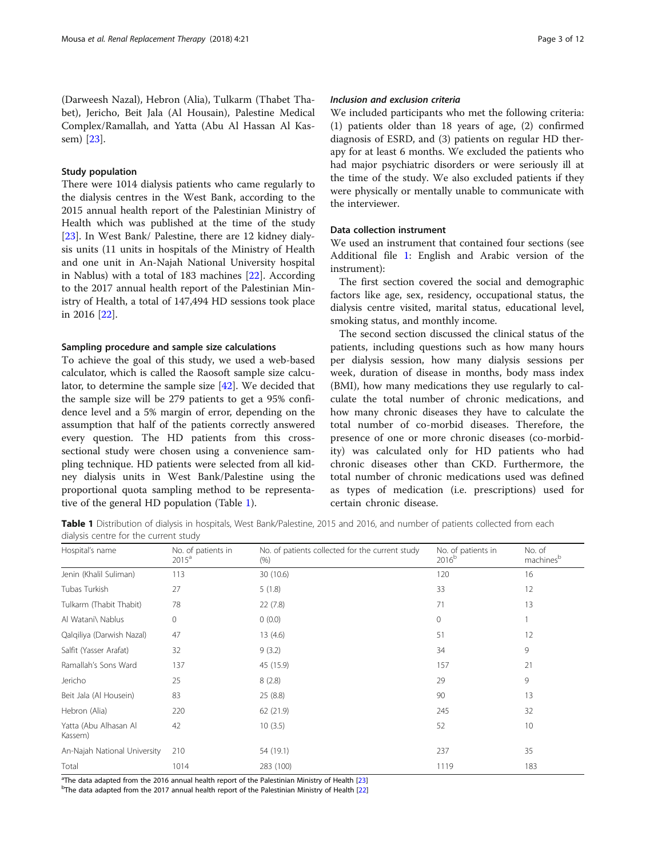(Darweesh Nazal), Hebron (Alia), Tulkarm (Thabet Thabet), Jericho, Beit Jala (Al Housain), Palestine Medical Complex/Ramallah, and Yatta (Abu Al Hassan Al Kassem) [\[23](#page-10-0)].

# Study population

There were 1014 dialysis patients who came regularly to the dialysis centres in the West Bank, according to the 2015 annual health report of the Palestinian Ministry of Health which was published at the time of the study [[23\]](#page-10-0). In West Bank/ Palestine, there are 12 kidney dialysis units (11 units in hospitals of the Ministry of Health and one unit in An-Najah National University hospital in Nablus) with a total of 183 machines [[22](#page-10-0)]. According to the 2017 annual health report of the Palestinian Ministry of Health, a total of 147,494 HD sessions took place in 2016 [\[22](#page-10-0)].

#### Sampling procedure and sample size calculations

To achieve the goal of this study, we used a web-based calculator, which is called the Raosoft sample size calculator, to determine the sample size [\[42](#page-11-0)]. We decided that the sample size will be 279 patients to get a 95% confidence level and a 5% margin of error, depending on the assumption that half of the patients correctly answered every question. The HD patients from this crosssectional study were chosen using a convenience sampling technique. HD patients were selected from all kidney dialysis units in West Bank/Palestine using the proportional quota sampling method to be representative of the general HD population (Table 1).

# Inclusion and exclusion criteria

We included participants who met the following criteria: (1) patients older than 18 years of age, (2) confirmed diagnosis of ESRD, and (3) patients on regular HD therapy for at least 6 months. We excluded the patients who had major psychiatric disorders or were seriously ill at the time of the study. We also excluded patients if they were physically or mentally unable to communicate with the interviewer.

# Data collection instrument

We used an instrument that contained four sections (see Additional file [1](#page-9-0): English and Arabic version of the instrument):

The first section covered the social and demographic factors like age, sex, residency, occupational status, the dialysis centre visited, marital status, educational level, smoking status, and monthly income.

The second section discussed the clinical status of the patients, including questions such as how many hours per dialysis session, how many dialysis sessions per week, duration of disease in months, body mass index (BMI), how many medications they use regularly to calculate the total number of chronic medications, and how many chronic diseases they have to calculate the total number of co-morbid diseases. Therefore, the presence of one or more chronic diseases (co-morbidity) was calculated only for HD patients who had chronic diseases other than CKD. Furthermore, the total number of chronic medications used was defined as types of medication (i.e. prescriptions) used for certain chronic disease.

Table 1 Distribution of dialysis in hospitals, West Bank/Palestine, 2015 and 2016, and number of patients collected from each dialysis centre for the current study

| Hospital's name                  | No. of patients in<br>$2015^a$ | No. of patients collected for the current study<br>(% ) | No. of patients in<br>2016 <sup>b</sup> | No. of<br>machinesb |
|----------------------------------|--------------------------------|---------------------------------------------------------|-----------------------------------------|---------------------|
| Jenin (Khalil Suliman)           | 113                            | 30 (10.6)                                               | 120                                     | 16                  |
| Tubas Turkish                    | 27                             | 5(1.8)                                                  | 33                                      | 12                  |
| Tulkarm (Thabit Thabit)          | 78                             | 22(7.8)                                                 | 71                                      | 13                  |
| Al Watani\ Nablus                | 0                              | (0.0)                                                   | $\circ$                                 |                     |
| Qalqiliya (Darwish Nazal)        | 47                             | 13(4.6)                                                 | 51                                      | 12                  |
| Salfit (Yasser Arafat)           | 32                             | 9(3.2)                                                  | 34                                      | 9                   |
| Ramallah's Sons Ward             | 137                            | 45 (15.9)                                               | 157                                     | 21                  |
| Jericho                          | 25                             | 8(2.8)                                                  | 29                                      | 9                   |
| Beit Jala (Al Housein)           | 83                             | 25 (8.8)                                                | 90                                      | 13                  |
| Hebron (Alia)                    | 220                            | 62 (21.9)                                               | 245                                     | 32                  |
| Yatta (Abu Alhasan Al<br>Kassem) | 42                             | 10(3.5)                                                 | 52                                      | 10                  |
| An-Najah National University     | 210                            | 54 (19.1)                                               | 237                                     | 35                  |
| Total                            | 1014                           | 283 (100)                                               | 1119                                    | 183                 |

<sup>a</sup>The data adapted from the 2016 annual health report of the Palestinian Ministry of Health [23] <sup>a</sup>The data adapted from the 2016 annual health report of the Palestinian Ministry of Health [\[23](#page-10-0)]<br><sup>b</sup>The data adapted from the 2017 annual health report of the Palestinian Ministry of Health [[22\]](#page-10-0)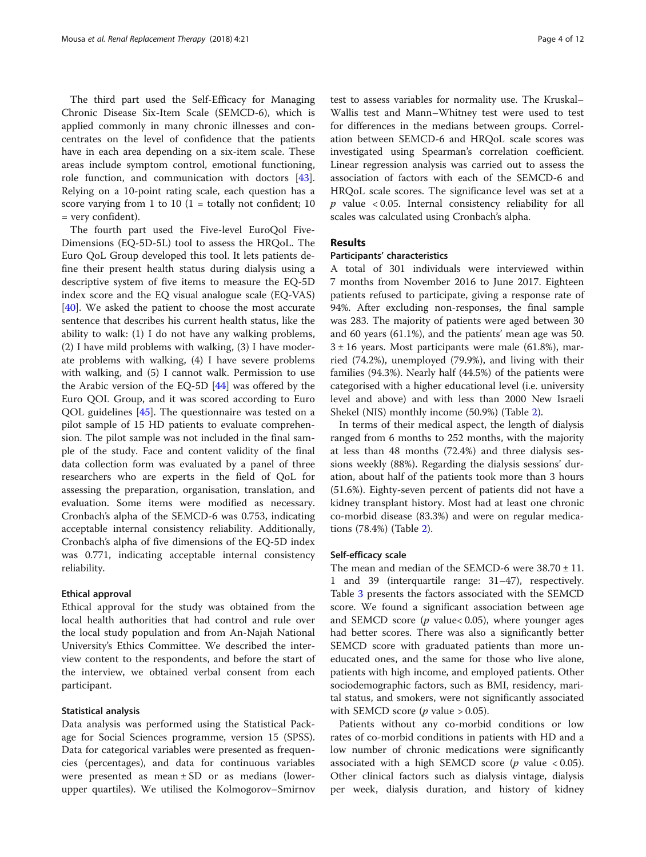The third part used the Self-Efficacy for Managing Chronic Disease Six-Item Scale (SEMCD-6), which is applied commonly in many chronic illnesses and concentrates on the level of confidence that the patients have in each area depending on a six-item scale. These areas include symptom control, emotional functioning, role function, and communication with doctors [\[43](#page-11-0)]. Relying on a 10-point rating scale, each question has a score varying from 1 to 10  $(1 =$  totally not confident; 10 = very confident).

The fourth part used the Five-level EuroQol Five-Dimensions (EQ-5D-5L) tool to assess the HRQoL. The Euro QoL Group developed this tool. It lets patients define their present health status during dialysis using a descriptive system of five items to measure the EQ-5D index score and the EQ visual analogue scale (EQ-VAS) [[40\]](#page-11-0). We asked the patient to choose the most accurate sentence that describes his current health status, like the ability to walk: (1) I do not have any walking problems, (2) I have mild problems with walking, (3) I have moderate problems with walking, (4) I have severe problems with walking, and (5) I cannot walk. Permission to use the Arabic version of the EQ-5D [[44](#page-11-0)] was offered by the Euro QOL Group, and it was scored according to Euro QOL guidelines [[45\]](#page-11-0). The questionnaire was tested on a pilot sample of 15 HD patients to evaluate comprehension. The pilot sample was not included in the final sample of the study. Face and content validity of the final data collection form was evaluated by a panel of three researchers who are experts in the field of QoL for assessing the preparation, organisation, translation, and evaluation. Some items were modified as necessary. Cronbach's alpha of the SEMCD-6 was 0.753, indicating acceptable internal consistency reliability. Additionally, Cronbach's alpha of five dimensions of the EQ-5D index was 0.771, indicating acceptable internal consistency reliability.

# Ethical approval

Ethical approval for the study was obtained from the local health authorities that had control and rule over the local study population and from An-Najah National University's Ethics Committee. We described the interview content to the respondents, and before the start of the interview, we obtained verbal consent from each participant.

## Statistical analysis

Data analysis was performed using the Statistical Package for Social Sciences programme, version 15 (SPSS). Data for categorical variables were presented as frequencies (percentages), and data for continuous variables were presented as mean  $\pm$  SD or as medians (lowerupper quartiles). We utilised the Kolmogorov–Smirnov

test to assess variables for normality use. The Kruskal– Wallis test and Mann–Whitney test were used to test for differences in the medians between groups. Correlation between SEMCD-6 and HRQoL scale scores was investigated using Spearman's correlation coefficient. Linear regression analysis was carried out to assess the association of factors with each of the SEMCD-6 and HRQoL scale scores. The significance level was set at a  $p$  value < 0.05. Internal consistency reliability for all scales was calculated using Cronbach's alpha.

# Results

#### Participants' characteristics

A total of 301 individuals were interviewed within 7 months from November 2016 to June 2017. Eighteen patients refused to participate, giving a response rate of 94%. After excluding non-responses, the final sample was 283. The majority of patients were aged between 30 and 60 years (61.1%), and the patients' mean age was 50.  $3 \pm 16$  years. Most participants were male (61.8%), married (74.2%), unemployed (79.9%), and living with their families (94.3%). Nearly half (44.5%) of the patients were categorised with a higher educational level (i.e. university level and above) and with less than 2000 New Israeli Shekel (NIS) monthly income (50.9%) (Table [2\)](#page-4-0).

In terms of their medical aspect, the length of dialysis ranged from 6 months to 252 months, with the majority at less than 48 months (72.4%) and three dialysis sessions weekly (88%). Regarding the dialysis sessions' duration, about half of the patients took more than 3 hours (51.6%). Eighty-seven percent of patients did not have a kidney transplant history. Most had at least one chronic co-morbid disease (83.3%) and were on regular medications (78.4%) (Table [2\)](#page-4-0).

# Self-efficacy scale

The mean and median of the SEMCD-6 were  $38.70 \pm 11$ . 1 and 39 (interquartile range: 31–47), respectively. Table [3](#page-5-0) presents the factors associated with the SEMCD score. We found a significant association between age and SEMCD score ( $p$  value< 0.05), where younger ages had better scores. There was also a significantly better SEMCD score with graduated patients than more uneducated ones, and the same for those who live alone, patients with high income, and employed patients. Other sociodemographic factors, such as BMI, residency, marital status, and smokers, were not significantly associated with SEMCD score ( $p$  value  $> 0.05$ ).

Patients without any co-morbid conditions or low rates of co-morbid conditions in patients with HD and a low number of chronic medications were significantly associated with a high SEMCD score ( $p$  value < 0.05). Other clinical factors such as dialysis vintage, dialysis per week, dialysis duration, and history of kidney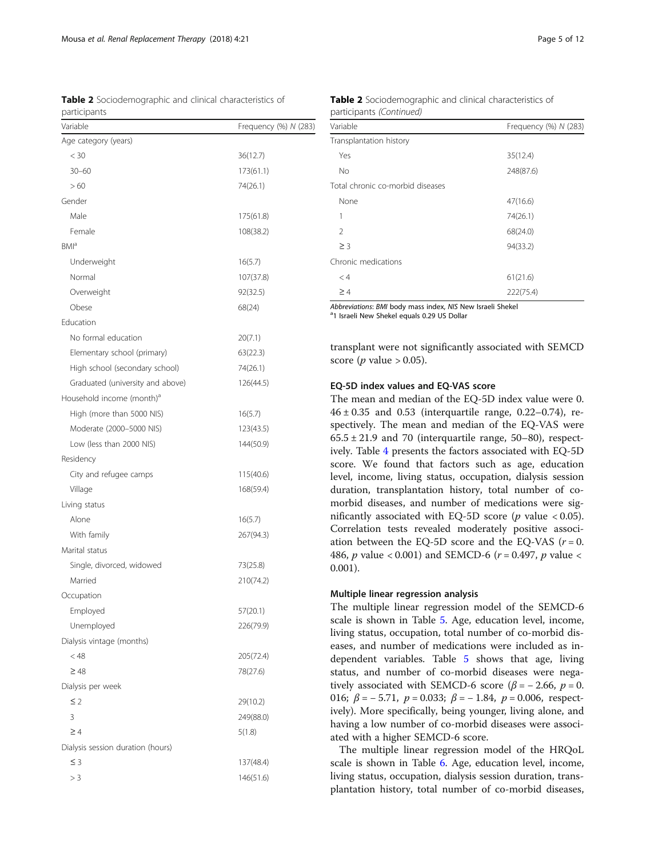<span id="page-4-0"></span>Table 2 Sociodemographic and clinical characteristics of participants

| Variable                              | Frequency (%) N (283) |
|---------------------------------------|-----------------------|
| Age category (years)                  |                       |
| $<$ 30                                | 36(12.7)              |
| $30 - 60$                             | 173(61.1)             |
| > 60                                  | 74(26.1)              |
| Gender                                |                       |
| Male                                  | 175(61.8)             |
| Female                                | 108(38.2)             |
| BMI <sup>a</sup>                      |                       |
| Underweight                           | 16(5.7)               |
| Normal                                | 107(37.8)             |
| Overweight                            | 92(32.5)              |
| Obese                                 | 68(24)                |
| Education                             |                       |
| No formal education                   | 20(7.1)               |
| Elementary school (primary)           | 63(22.3)              |
| High school (secondary school)        | 74(26.1)              |
| Graduated (university and above)      | 126(44.5)             |
| Household income (month) <sup>a</sup> |                       |
| High (more than 5000 NIS)             | 16(5.7)               |
| Moderate (2000-5000 NIS)              | 123(43.5)             |
| Low (less than 2000 NIS)              | 144(50.9)             |
| Residency                             |                       |
| City and refugee camps                | 115(40.6)             |
| Village                               | 168(59.4)             |
| Living status                         |                       |
| Alone                                 | 16(5.7)               |
| With family                           | 267(94.3)             |
| Marital status                        |                       |
| Single, divorced, widowed             | 73(25.8)              |
| Married                               | 210(74.2)             |
| Occupation                            |                       |
| Employed                              | 57(20.1)              |
| Unemployed                            | 226(79.9)             |
| Dialysis vintage (months)             |                       |
| < 48                                  | 205(72.4)             |
| $\geq 48$                             | 78(27.6)              |
| Dialysis per week                     |                       |
| $\leq$ 2                              | 29(10.2)              |
| 3                                     | 249(88.0)             |
| $\geq 4$                              | 5(1.8)                |
| Dialysis session duration (hours)     |                       |
| $\leq$ 3                              | 137(48.4)             |
| > 3                                   | 146(51.6)             |
|                                       |                       |

| <b>Table 2</b> Sociodemographic and clinical characteristics of |  |  |
|-----------------------------------------------------------------|--|--|
| participants (Continued)                                        |  |  |

| Variable                         | Frequency (%) N (283) |
|----------------------------------|-----------------------|
| Transplantation history          |                       |
| Yes                              | 35(12.4)              |
| No                               | 248(87.6)             |
| Total chronic co-morbid diseases |                       |
| None                             | 47(16.6)              |
| 1                                | 74(26.1)              |
| $\mathcal{P}$                    | 68(24.0)              |
| $\geq$ 3                         | 94(33.2)              |
| Chronic medications              |                       |
| < 4                              | 61(21.6)              |
| $\geq 4$                         | 222(75.4)             |

Abbreviations: BMI body mass index, NIS New Israeli Shekel <sup>a</sup>1 Israeli New Shekel equals 0.29 US Dollar

transplant were not significantly associated with SEMCD score (*p* value  $> 0.05$ ).

# EQ-5D index values and EQ-VAS score

The mean and median of the EQ-5D index value were 0.  $46 \pm 0.35$  and 0.53 (interquartile range, 0.22–0.74), respectively. The mean and median of the EQ-VAS were  $65.5 \pm 21.9$  and 70 (interquartile range, 50–80), respectively. Table [4](#page-7-0) presents the factors associated with EQ-5D score. We found that factors such as age, education level, income, living status, occupation, dialysis session duration, transplantation history, total number of comorbid diseases, and number of medications were significantly associated with EQ-5D score ( $p$  value < 0.05). Correlation tests revealed moderately positive association between the EQ-5D score and the EQ-VAS  $(r = 0$ . 486, *p* value < 0.001) and SEMCD-6 ( $r = 0.497$ ,  $p$  value < 0.001).

#### Multiple linear regression analysis

The multiple linear regression model of the SEMCD-6 scale is shown in Table [5.](#page-8-0) Age, education level, income, living status, occupation, total number of co-morbid diseases, and number of medications were included as independent variables. Table [5](#page-8-0) shows that age, living status, and number of co-morbid diseases were negatively associated with SEMCD-6 score ( $\beta$  = -2.66, p = 0. 016;  $\beta = -5.71$ ,  $p = 0.033$ ;  $\beta = -1.84$ ,  $p = 0.006$ , respectively). More specifically, being younger, living alone, and having a low number of co-morbid diseases were associated with a higher SEMCD-6 score.

The multiple linear regression model of the HRQoL scale is shown in Table [6.](#page-9-0) Age, education level, income, living status, occupation, dialysis session duration, transplantation history, total number of co-morbid diseases,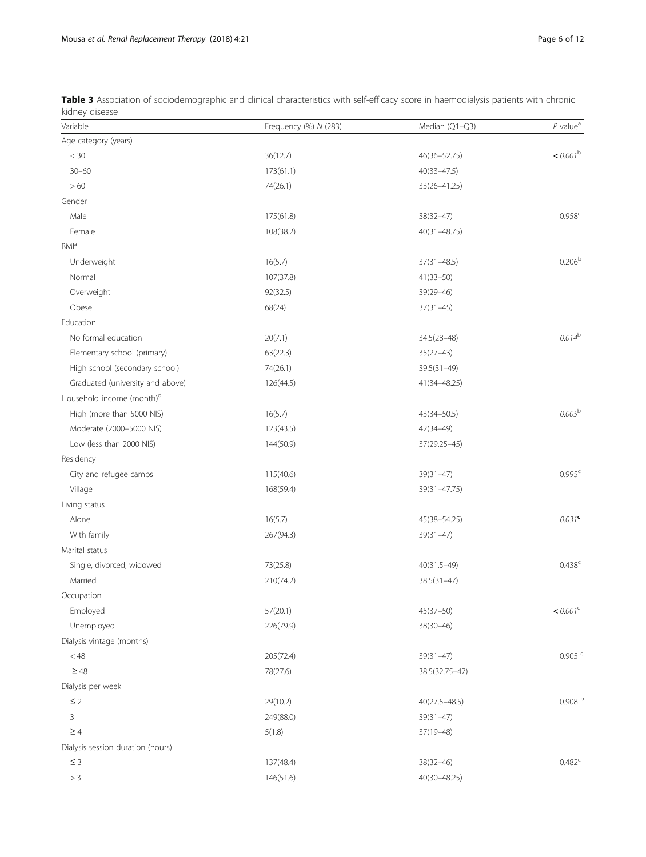| Variable                              | Frequency (%) N (283) | Median (Q1-Q3)    | $P$ value <sup>a</sup> |
|---------------------------------------|-----------------------|-------------------|------------------------|
| Age category (years)                  |                       |                   |                        |
| $< 30\,$                              | 36(12.7)              | 46(36-52.75)      | $< 0.001^{\rm b}$      |
| $30 - 60$                             | 173(61.1)             | $40(33 - 47.5)$   |                        |
| >60                                   | 74(26.1)              | 33(26-41.25)      |                        |
| Gender                                |                       |                   |                        |
| Male                                  | 175(61.8)             | 38(32-47)         | 0.958 <sup>c</sup>     |
| Female                                | 108(38.2)             | 40(31-48.75)      |                        |
| BMI <sup>a</sup>                      |                       |                   |                        |
| Underweight                           | 16(5.7)               | $37(31 - 48.5)$   | $0.206^{b}$            |
| Normal                                | 107(37.8)             | $41(33 - 50)$     |                        |
| Overweight                            | 92(32.5)              | 39(29-46)         |                        |
| Obese                                 | 68(24)                | $37(31 - 45)$     |                        |
| Education                             |                       |                   |                        |
| No formal education                   | 20(7.1)               | $34.5(28 - 48)$   | $0.014^{\rm b}$        |
| Elementary school (primary)           | 63(22.3)              | $35(27 - 43)$     |                        |
| High school (secondary school)        | 74(26.1)              | $39.5(31 - 49)$   |                        |
| Graduated (university and above)      | 126(44.5)             | 41(34-48.25)      |                        |
| Household income (month) <sup>d</sup> |                       |                   |                        |
| High (more than 5000 NIS)             | 16(5.7)               | 43(34-50.5)       | $0.005^{\rm b}$        |
| Moderate (2000-5000 NIS)              | 123(43.5)             | $42(34 - 49)$     |                        |
| Low (less than 2000 NIS)              | 144(50.9)             | 37(29.25-45)      |                        |
| Residency                             |                       |                   |                        |
| City and refugee camps                | 115(40.6)             | $39(31 - 47)$     | 0.995 <sup>c</sup>     |
| Village                               | 168(59.4)             | 39(31-47.75)      |                        |
| Living status                         |                       |                   |                        |
| Alone                                 | 16(5.7)               | 45(38-54.25)      | $0.031$ <sup>c</sup>   |
| With family                           | 267(94.3)             | $39(31 - 47)$     |                        |
| Marital status                        |                       |                   |                        |
| Single, divorced, widowed             | 73(25.8)              | $40(31.5 - 49)$   | $0.438^{c}$            |
| Married                               | 210(74.2)             | $38.5(31 - 47)$   |                        |
| Occupation                            |                       |                   |                        |
| Employed                              | 57(20.1)              | $45(37 - 50)$     | $< 0.001^{\rm c}$      |
| Unemployed                            | 226(79.9)             | $38(30 - 46)$     |                        |
| Dialysis vintage (months)             |                       |                   |                        |
| $<$ 48                                | 205(72.4)             | $39(31 - 47)$     | $0.905$ <sup>c</sup>   |
| $\geq 48$                             | 78(27.6)              | 38.5(32.75-47)    |                        |
| Dialysis per week                     |                       |                   |                        |
| $\leq$ 2                              | 29(10.2)              | $40(27.5 - 48.5)$ | 0.908 <sup>b</sup>     |
| $\mathbf{3}$                          | 249(88.0)             | $39(31 - 47)$     |                        |
| $\geq 4$                              | 5(1.8)                | 37(19-48)         |                        |
| Dialysis session duration (hours)     |                       |                   |                        |
| $\leq$ 3                              | 137(48.4)             | 38(32-46)         | $0.482^c$              |
| $> 3$                                 | 146(51.6)             | 40(30-48.25)      |                        |
|                                       |                       |                   |                        |

<span id="page-5-0"></span>Table 3 Association of sociodemographic and clinical characteristics with self-efficacy score in haemodialysis patients with chronic kidney disease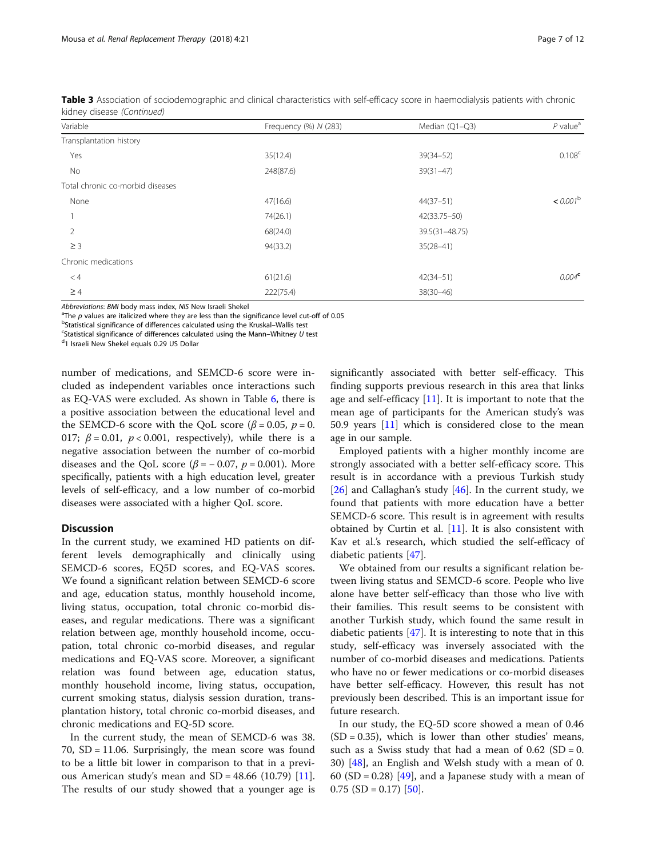| Variable                         | Frequency (%) N (283) | Median (Q1-Q3) | $P$ value <sup><math>a</math></sup> |
|----------------------------------|-----------------------|----------------|-------------------------------------|
| Transplantation history          |                       |                |                                     |
| Yes                              | 35(12.4)              | $39(34 - 52)$  | 0.108 <sup>c</sup>                  |
| No                               | 248(87.6)             | $39(31 - 47)$  |                                     |
| Total chronic co-morbid diseases |                       |                |                                     |
| None                             | 47(16.6)              | $44(37-51)$    | $< 0.001^{\rm b}$                   |
|                                  | 74(26.1)              | 42(33.75-50)   |                                     |
| $\mathfrak{D}$                   | 68(24.0)              | 39.5(31-48.75) |                                     |
| $\geq$ 3                         | 94(33.2)              | $35(28 - 41)$  |                                     |
| Chronic medications              |                       |                |                                     |
| $<$ 4                            | 61(21.6)              | $42(34 - 51)$  | 0.004 <sup>c</sup>                  |
| $\geq 4$                         | 222(75.4)             | $38(30 - 46)$  |                                     |

Table 3 Association of sociodemographic and clinical characteristics with self-efficacy score in haemodialysis patients with chronic kidney disease (Continued)

Abbreviations: BMI body mass index, NIS New Israeli Shekel

<sup>a</sup>The  $p$  values are italicized where they are less than the significance level cut-off of 0.05

bStatistical significance of differences calculated using the Kruskal-Wallis test

 $c$ Statistical significance of differences calculated using the Mann–Whitney  $U$  test

<sup>d</sup>1 Israeli New Shekel equals 0.29 US Dollar

number of medications, and SEMCD-6 score were included as independent variables once interactions such as EQ-VAS were excluded. As shown in Table [6,](#page-9-0) there is a positive association between the educational level and the SEMCD-6 score with the QoL score ( $\beta$  = 0.05,  $p$  = 0. 017;  $\beta = 0.01$ ,  $p < 0.001$ , respectively), while there is a negative association between the number of co-morbid diseases and the QoL score ( $\beta$  = -0.07,  $p$  = 0.001). More specifically, patients with a high education level, greater levels of self-efficacy, and a low number of co-morbid diseases were associated with a higher QoL score.

# **Discussion**

In the current study, we examined HD patients on different levels demographically and clinically using SEMCD-6 scores, EQ5D scores, and EQ-VAS scores. We found a significant relation between SEMCD-6 score and age, education status, monthly household income, living status, occupation, total chronic co-morbid diseases, and regular medications. There was a significant relation between age, monthly household income, occupation, total chronic co-morbid diseases, and regular medications and EQ-VAS score. Moreover, a significant relation was found between age, education status, monthly household income, living status, occupation, current smoking status, dialysis session duration, transplantation history, total chronic co-morbid diseases, and chronic medications and EQ-5D score.

In the current study, the mean of SEMCD-6 was 38. 70, SD = 11.06. Surprisingly, the mean score was found to be a little bit lower in comparison to that in a previous American study's mean and  $SD = 48.66$  (10.79) [\[11](#page-10-0)]. The results of our study showed that a younger age is significantly associated with better self-efficacy. This finding supports previous research in this area that links age and self-efficacy  $[11]$ . It is important to note that the mean age of participants for the American study's was 50.9 years [[11](#page-10-0)] which is considered close to the mean age in our sample.

Employed patients with a higher monthly income are strongly associated with a better self-efficacy score. This result is in accordance with a previous Turkish study [[26\]](#page-10-0) and Callaghan's study  $[46]$  $[46]$ . In the current study, we found that patients with more education have a better SEMCD-6 score. This result is in agreement with results obtained by Curtin et al.  $[11]$  $[11]$ . It is also consistent with Kav et al.'s research, which studied the self-efficacy of diabetic patients [[47\]](#page-11-0).

We obtained from our results a significant relation between living status and SEMCD-6 score. People who live alone have better self-efficacy than those who live with their families. This result seems to be consistent with another Turkish study, which found the same result in diabetic patients [[47\]](#page-11-0). It is interesting to note that in this study, self-efficacy was inversely associated with the number of co-morbid diseases and medications. Patients who have no or fewer medications or co-morbid diseases have better self-efficacy. However, this result has not previously been described. This is an important issue for future research.

In our study, the EQ-5D score showed a mean of 0.46  $(SD = 0.35)$ , which is lower than other studies' means, such as a Swiss study that had a mean of  $0.62$  (SD = 0. 30) [[48](#page-11-0)], an English and Welsh study with a mean of 0. 60 (SD = 0.28) [\[49\]](#page-11-0), and a Japanese study with a mean of  $0.75$  (SD = 0.17) [[50](#page-11-0)].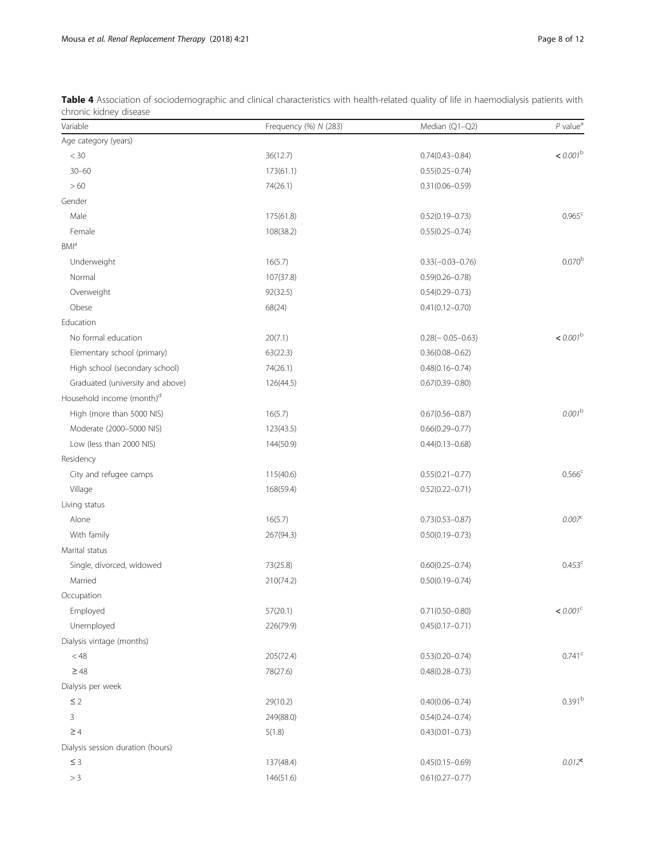| Variable                              | Frequency (%) N (283) | Median (Q1-Q2)      | $P$ value <sup>a</sup> |
|---------------------------------------|-----------------------|---------------------|------------------------|
| Age category (years)                  |                       |                     |                        |
| $< 30$                                | 36(12.7)              | $0.74(0.43 - 0.84)$ | $< 0.001^{\rm b}$      |
| $30 - 60$                             | 173(61.1)             | $0.55(0.25 - 0.74)$ |                        |
| >60                                   | 74(26.1)              | $0.31(0.06 - 0.59)$ |                        |
| Gender                                |                       |                     |                        |
| Male                                  | 175(61.8)             | $0.52(0.19 - 0.73)$ | 0.965 <sup>c</sup>     |
| Female                                | 108(38.2)             | $0.55(0.25 - 0.74)$ |                        |
| <b>BMI</b> <sup>a</sup>               |                       |                     |                        |
| Underweight                           | 16(5.7)               | $0.33(-0.03-0.76)$  | $0.070^{b}$            |
| Normal                                | 107(37.8)             | $0.59(0.26 - 0.78)$ |                        |
| Overweight                            | 92(32.5)              | $0.54(0.29 - 0.73)$ |                        |
| Obese                                 | 68(24)                | $0.41(0.12 - 0.70)$ |                        |
| Education                             |                       |                     |                        |
| No formal education                   | 20(7.1)               | $0.28(-0.05-0.63)$  | $< 0.001^{\rm b}$      |
| Elementary school (primary)           | 63(22.3)              | $0.36(0.08 - 0.62)$ |                        |
| High school (secondary school)        | 74(26.1)              | $0.48(0.16 - 0.74)$ |                        |
| Graduated (university and above)      | 126(44.5)             | $0.67(0.39 - 0.80)$ |                        |
| Household income (month) <sup>d</sup> |                       |                     |                        |
| High (more than 5000 NIS)             | 16(5.7)               | $0.67(0.56 - 0.87)$ | 0.001 <sup>b</sup>     |
| Moderate (2000-5000 NIS)              | 123(43.5)             | $0.66(0.29 - 0.77)$ |                        |
| Low (less than 2000 NIS)              | 144(50.9)             | $0.44(0.13 - 0.68)$ |                        |
| Residency                             |                       |                     |                        |
| City and refugee camps                | 115(40.6)             | $0.55(0.21 - 0.77)$ | 0.566 <sup>c</sup>     |
| Village                               | 168(59.4)             | $0.52(0.22 - 0.71)$ |                        |
| Living status                         |                       |                     |                        |
| Alone                                 | 16(5.7)               | $0.73(0.53 - 0.87)$ | 0.007c                 |
| With family                           | 267(94.3)             | $0.50(0.19 - 0.73)$ |                        |
| Marital status                        |                       |                     |                        |
| Single, divorced, widowed             | 73(25.8)              | $0.60(0.25 - 0.74)$ | $0.453^c$              |
| Married                               | 210(74.2)             | $0.50(0.19 - 0.74)$ |                        |
| Occupation                            |                       |                     |                        |
| Employed                              | 57(20.1)              | $0.71(0.50 - 0.80)$ | $< 0.001^{\rm c}$      |
| Unemployed                            | 226(79.9)             | $0.45(0.17 - 0.71)$ |                        |
| Dialysis vintage (months)             |                       |                     |                        |
| $<$ 48                                | 205(72.4)             | $0.53(0.20 - 0.74)$ | 0.741c                 |
| $\geq 48$                             | 78(27.6)              | $0.48(0.28 - 0.73)$ |                        |
| Dialysis per week                     |                       |                     |                        |
| $\leq$ 2                              | 29(10.2)              | $0.40(0.06 - 0.74)$ | 0.391 <sup>b</sup>     |
| 3                                     | 249(88.0)             | $0.54(0.24 - 0.74)$ |                        |
| $\geq 4$                              | 5(1.8)                | $0.43(0.01 - 0.73)$ |                        |
| Dialysis session duration (hours)     |                       |                     |                        |
| $\leq$ 3                              | 137(48.4)             | $0.45(0.15 - 0.69)$ | $0.012^{\text{c}}$     |
| $> 3$                                 | 146(51.6)             | $0.61(0.27 - 0.77)$ |                        |

<span id="page-7-0"></span>Table 4 Association of sociodemographic and clinical characteristics with health-related quality of life in haemodialysis patients with chronic kidney disease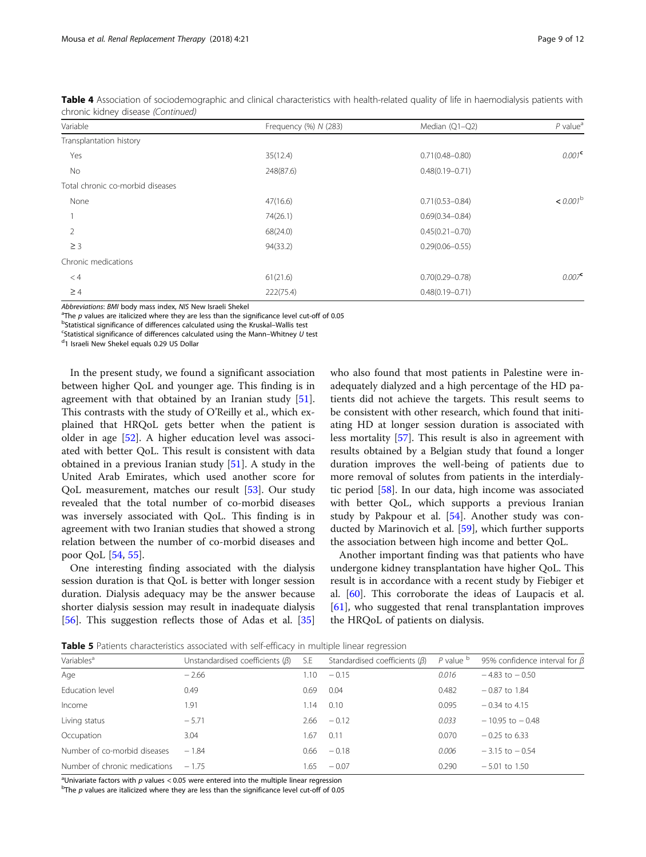| Variable                         | Frequency (%) N (283) | Median (Q1-Q2)      | $P$ value <sup><math>a</math></sup> |
|----------------------------------|-----------------------|---------------------|-------------------------------------|
| Transplantation history          |                       |                     |                                     |
| Yes                              | 35(12.4)              | $0.71(0.48 - 0.80)$ | 0.001 <sup>c</sup>                  |
| No                               | 248(87.6)             | $0.48(0.19 - 0.71)$ |                                     |
| Total chronic co-morbid diseases |                       |                     |                                     |
| None                             | 47(16.6)              | $0.71(0.53 - 0.84)$ | $< 0.001^{\rm b}$                   |
|                                  | 74(26.1)              | $0.69(0.34 - 0.84)$ |                                     |
| $\mathcal{P}$                    | 68(24.0)              | $0.45(0.21 - 0.70)$ |                                     |
| $\geq$ 3                         | 94(33.2)              | $0.29(0.06 - 0.55)$ |                                     |
| Chronic medications              |                       |                     |                                     |
| < 4                              | 61(21.6)              | $0.70(0.29 - 0.78)$ | 0.007                               |
| $\geq 4$                         | 222(75.4)             | $0.48(0.19 - 0.71)$ |                                     |

<span id="page-8-0"></span>Table 4 Association of sociodemographic and clinical characteristics with health-related quality of life in haemodialysis patients with chronic kidney disease (Continued)

Abbreviations: BMI body mass index, NIS New Israeli Shekel

<sup>a</sup>The  $p$  values are italicized where they are less than the significance level cut-off of 0.05

bStatistical significance of differences calculated using the Kruskal-Wallis test

 $c$ Statistical significance of differences calculated using the Mann–Whitney  $U$  test

<sup>d</sup>1 Israeli New Shekel equals 0.29 US Dollar

In the present study, we found a significant association between higher QoL and younger age. This finding is in agreement with that obtained by an Iranian study [\[51](#page-11-0)]. This contrasts with the study of O'Reilly et al., which explained that HRQoL gets better when the patient is older in age [\[52](#page-11-0)]. A higher education level was associated with better QoL. This result is consistent with data obtained in a previous Iranian study [[51\]](#page-11-0). A study in the United Arab Emirates, which used another score for QoL measurement, matches our result [\[53\]](#page-11-0). Our study revealed that the total number of co-morbid diseases was inversely associated with QoL. This finding is in agreement with two Iranian studies that showed a strong relation between the number of co-morbid diseases and poor QoL [\[54,](#page-11-0) [55\]](#page-11-0).

One interesting finding associated with the dialysis session duration is that QoL is better with longer session duration. Dialysis adequacy may be the answer because shorter dialysis session may result in inadequate dialysis [[56\]](#page-11-0). This suggestion reflects those of Adas et al. [[35](#page-10-0)]

who also found that most patients in Palestine were inadequately dialyzed and a high percentage of the HD patients did not achieve the targets. This result seems to be consistent with other research, which found that initiating HD at longer session duration is associated with less mortality [[57\]](#page-11-0). This result is also in agreement with results obtained by a Belgian study that found a longer duration improves the well-being of patients due to more removal of solutes from patients in the interdialytic period [\[58](#page-11-0)]. In our data, high income was associated with better QoL, which supports a previous Iranian study by Pakpour et al. [\[54](#page-11-0)]. Another study was conducted by Marinovich et al. [\[59](#page-11-0)], which further supports the association between high income and better QoL.

Another important finding was that patients who have undergone kidney transplantation have higher QoL. This result is in accordance with a recent study by Fiebiger et al. [\[60\]](#page-11-0). This corroborate the ideas of Laupacis et al. [[61\]](#page-11-0), who suggested that renal transplantation improves the HRQoL of patients on dialysis.

**Table 5** Patients characteristics associated with self-efficacy in multiple linear regression

| Variables <sup>a</sup>        | Unstandardised coefficients $(\beta)$ | S.E   | Standardised coefficients $(\beta)$ | $P$ value $P$ | 95% confidence interval for $\beta$ |  |  |
|-------------------------------|---------------------------------------|-------|-------------------------------------|---------------|-------------------------------------|--|--|
| Age                           | $-2.66$                               | 1.10  | $-0.15$                             | 0.016         | $-4.83$ to $-0.50$                  |  |  |
| Education level               | 0.49                                  | 0.69  | 0.04                                | 0.482         | $-0.87$ to 1.84                     |  |  |
| Income                        | 1.91                                  | 1.14  | 0.10                                | 0.095         | $-0.34$ to 4.15                     |  |  |
| Living status                 | $-5.71$                               | 2.66  | $-0.12$                             | 0.033         | $-10.95$ to $-0.48$                 |  |  |
| Occupation                    | 3.04                                  | 67. ا | 0.11                                | 0.070         | $-0.25$ to 6.33                     |  |  |
| Number of co-morbid diseases  | $-1.84$                               | 0.66  | $-0.18$                             | 0.006         | $-3.15$ to $-0.54$                  |  |  |
| Number of chronic medications | $-1.75$                               | .65   | $-0.07$                             | 0.290         | $-5.01$ to 1.50                     |  |  |

<sup>a</sup>Univariate factors with p values < 0.05 were entered into the multiple linear regression

<sup>a</sup>Univariate factors with *p* values < 0.05 were entered into the multiple linear regression<br><sup>b</sup>The *p* values are italicized where they are less than the significance level cut-off of 0.05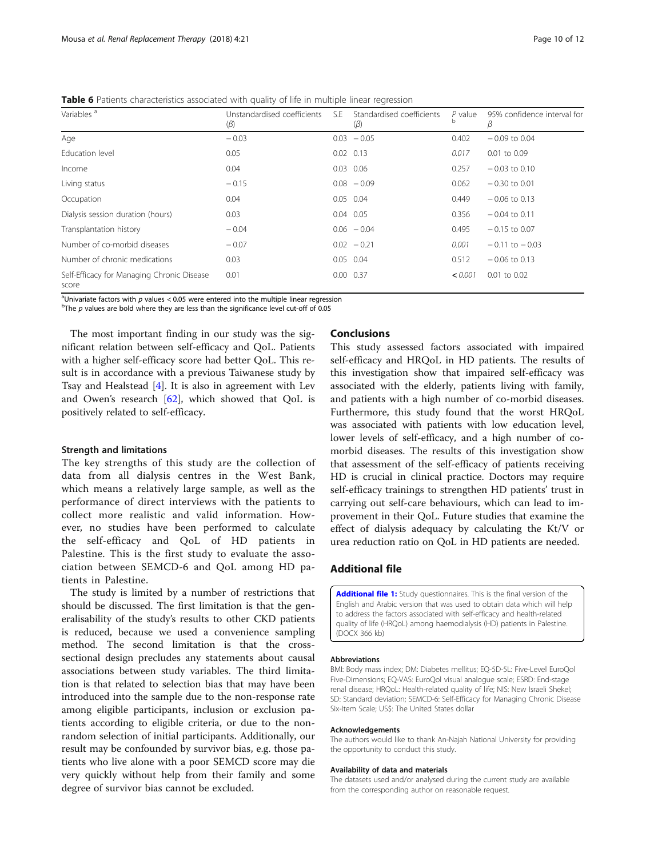<span id="page-9-0"></span>

| <b>Table 6</b> Patients characteristics associated with quality of life in multiple linear regression |  |  |  |  |
|-------------------------------------------------------------------------------------------------------|--|--|--|--|
|                                                                                                       |  |  |  |  |

| Variables <sup>a</sup>                              | Unstandardised coefficients<br>$(\beta)$ | S.E | Standardised coefficients<br>$(\beta)$ | $P$ value | 95% confidence interval for<br>ß |  |  |
|-----------------------------------------------------|------------------------------------------|-----|----------------------------------------|-----------|----------------------------------|--|--|
| Age                                                 | $-0.03$                                  |     | $0.03 - 0.05$                          | 0.402     | $-0.09$ to 0.04                  |  |  |
| Education level                                     | 0.05                                     |     | $0.02$ $0.13$                          | 0.017     | 0.01 to 0.09                     |  |  |
| Income                                              | 0.04                                     |     | $0.03$ 0.06                            | 0.257     | $-0.03$ to 0.10                  |  |  |
| Living status                                       | $-0.15$                                  |     | $0.08 - 0.09$                          | 0.062     | $-0.30$ to 0.01                  |  |  |
| Occupation                                          | 0.04                                     |     | 0.05 0.04                              | 0.449     | $-0.06$ to 0.13                  |  |  |
| Dialysis session duration (hours)                   | 0.03                                     |     | $0.04$ 0.05                            | 0.356     | $-0.04$ to 0.11                  |  |  |
| Transplantation history                             | $-0.04$                                  |     | $0.06 - 0.04$                          | 0.495     | $-0.15$ to 0.07                  |  |  |
| Number of co-morbid diseases                        | $-0.07$                                  |     | $0.02 - 0.21$                          | 0.001     | $-0.11$ to $-0.03$               |  |  |
| Number of chronic medications                       | 0.03                                     |     | $0.05$ 0.04                            | 0.512     | $-0.06$ to 0.13                  |  |  |
| Self-Efficacy for Managing Chronic Disease<br>score | 0.01                                     |     | $0.00 \quad 0.37$                      | < 0.001   | 0.01 to 0.02                     |  |  |

<sup>a</sup>Univariate factors with p values < 0.05 were entered into the multiple linear regression<br><sup>b</sup>The p values are bold where they are less than the significance level cut-off of 0.05

<sup>b</sup>The  $p$  values are bold where they are less than the significance level cut-off of 0.05

The most important finding in our study was the significant relation between self-efficacy and QoL. Patients with a higher self-efficacy score had better QoL. This result is in accordance with a previous Taiwanese study by Tsay and Healstead [[4\]](#page-10-0). It is also in agreement with Lev and Owen's research [[62\]](#page-11-0), which showed that QoL is positively related to self-efficacy.

#### Strength and limitations

The key strengths of this study are the collection of data from all dialysis centres in the West Bank, which means a relatively large sample, as well as the performance of direct interviews with the patients to collect more realistic and valid information. However, no studies have been performed to calculate the self-efficacy and QoL of HD patients in Palestine. This is the first study to evaluate the association between SEMCD-6 and QoL among HD patients in Palestine.

The study is limited by a number of restrictions that should be discussed. The first limitation is that the generalisability of the study's results to other CKD patients is reduced, because we used a convenience sampling method. The second limitation is that the crosssectional design precludes any statements about causal associations between study variables. The third limitation is that related to selection bias that may have been introduced into the sample due to the non-response rate among eligible participants, inclusion or exclusion patients according to eligible criteria, or due to the nonrandom selection of initial participants. Additionally, our result may be confounded by survivor bias, e.g. those patients who live alone with a poor SEMCD score may die very quickly without help from their family and some degree of survivor bias cannot be excluded.

# Conclusions

This study assessed factors associated with impaired self-efficacy and HRQoL in HD patients. The results of this investigation show that impaired self-efficacy was associated with the elderly, patients living with family, and patients with a high number of co-morbid diseases. Furthermore, this study found that the worst HRQoL was associated with patients with low education level, lower levels of self-efficacy, and a high number of comorbid diseases. The results of this investigation show that assessment of the self-efficacy of patients receiving HD is crucial in clinical practice. Doctors may require self-efficacy trainings to strengthen HD patients' trust in carrying out self-care behaviours, which can lead to improvement in their QoL. Future studies that examine the effect of dialysis adequacy by calculating the Kt/V or urea reduction ratio on QoL in HD patients are needed.

# Additional file

[Additional file 1:](https://doi.org/10.1186/s41100-018-0162-y) Study questionnaires. This is the final version of the English and Arabic version that was used to obtain data which will help to address the factors associated with self-efficacy and health-related quality of life (HRQoL) among haemodialysis (HD) patients in Palestine. (DOCX 366 kb)

#### Abbreviations

BMI: Body mass index; DM: Diabetes mellitus; EQ-5D-5L: Five-Level EuroQol Five-Dimensions; EQ-VAS: EuroQol visual analogue scale; ESRD: End-stage renal disease; HRQoL: Health-related quality of life; NIS: New Israeli Shekel; SD: Standard deviation; SEMCD-6: Self-Efficacy for Managing Chronic Disease Six-Item Scale; US\$: The United States dollar

#### Acknowledgements

The authors would like to thank An-Najah National University for providing the opportunity to conduct this study.

#### Availability of data and materials

The datasets used and/or analysed during the current study are available from the corresponding author on reasonable request.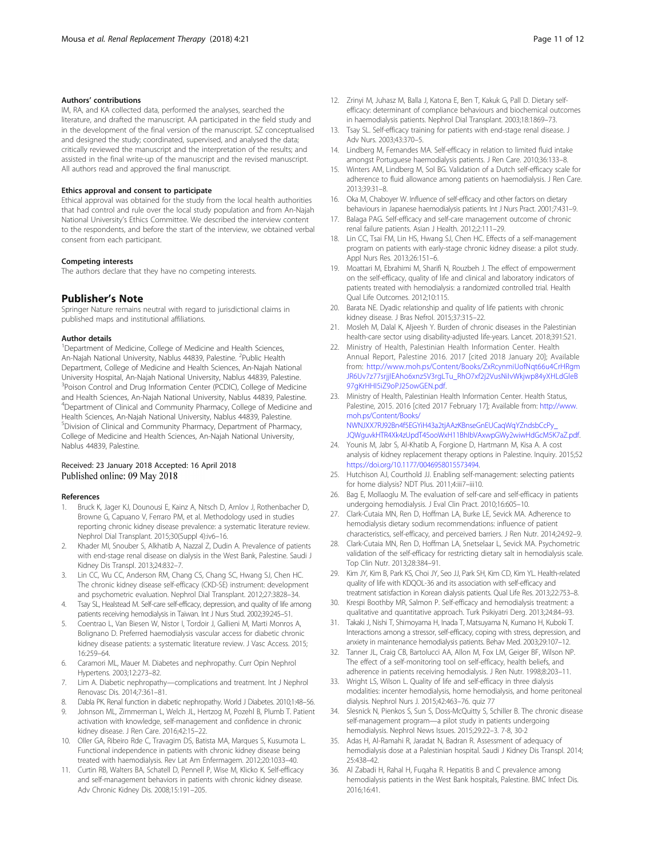#### <span id="page-10-0"></span>Authors' contributions

IM, RA, and KA collected data, performed the analyses, searched the literature, and drafted the manuscript. AA participated in the field study and in the development of the final version of the manuscript. SZ conceptualised and designed the study; coordinated, supervised, and analysed the data; critically reviewed the manuscript and the interpretation of the results; and assisted in the final write-up of the manuscript and the revised manuscript. All authors read and approved the final manuscript.

#### Ethics approval and consent to participate

Ethical approval was obtained for the study from the local health authorities that had control and rule over the local study population and from An-Najah National University's Ethics Committee. We described the interview content to the respondents, and before the start of the interview, we obtained verbal consent from each participant.

## Competing interests

The authors declare that they have no competing interests.

## Publisher's Note

Springer Nature remains neutral with regard to jurisdictional claims in published maps and institutional affiliations.

#### Author details

<sup>1</sup>Department of Medicine, College of Medicine and Health Sciences, An-Najah National University, Nablus 44839, Palestine. <sup>2</sup>Public Health Department, College of Medicine and Health Sciences, An-Najah National University Hospital, An-Najah National University, Nablus 44839, Palestine. <sup>3</sup>Poison Control and Drug Information Center (PCDIC), College of Medicine and Health Sciences, An-Najah National University, Nablus 44839, Palestine. 4 Department of Clinical and Community Pharmacy, College of Medicine and Health Sciences, An-Najah National University, Nablus 44839, Palestine. 5 Division of Clinical and Community Pharmacy, Department of Pharmacy, College of Medicine and Health Sciences, An-Najah National University, Nablus 44839, Palestine.

# Received: 23 January 2018 Accepted: 16 April 2018 Published online: 09 May 2018

#### References

- 1. Bruck K, Jager KJ, Dounousi E, Kainz A, Nitsch D, Arnlov J, Rothenbacher D, Browne G, Capuano V, Ferraro PM, et al. Methodology used in studies reporting chronic kidney disease prevalence: a systematic literature review. Nephrol Dial Transplant. 2015;30(Suppl 4):iv6–16.
- 2. Khader MI, Snouber S, Alkhatib A, Nazzal Z, Dudin A. Prevalence of patients with end-stage renal disease on dialysis in the West Bank, Palestine. Saudi J Kidney Dis Transpl. 2013;24:832–7.
- 3. Lin CC, Wu CC, Anderson RM, Chang CS, Chang SC, Hwang SJ, Chen HC. The chronic kidney disease self-efficacy (CKD-SE) instrument: development and psychometric evaluation. Nephrol Dial Transplant. 2012;27:3828–34.
- 4. Tsay SL, Healstead M. Self-care self-efficacy, depression, and quality of life among patients receiving hemodialysis in Taiwan. Int J Nurs Stud. 2002;39:245–51.
- 5. Coentrao L, Van Biesen W, Nistor I, Tordoir J, Gallieni M, Marti Monros A, Bolignano D. Preferred haemodialysis vascular access for diabetic chronic kidney disease patients: a systematic literature review. J Vasc Access. 2015; 16:259–64.
- 6. Caramori ML, Mauer M. Diabetes and nephropathy. Curr Opin Nephrol Hypertens. 2003;12:273–82.
- 7. Lim A. Diabetic nephropathy—complications and treatment. Int J Nephrol Renovasc Dis. 2014;7:361–81.
- 8. Dabla PK. Renal function in diabetic nephropathy. World J Diabetes. 2010;1:48–56.
- 9. Johnson ML, Zimmerman L, Welch JL, Hertzog M, Pozehl B, Plumb T. Patient activation with knowledge, self-management and confidence in chronic kidney disease. J Ren Care. 2016;42:15–22.
- 10. Oller GA, Ribeiro Rde C, Travagim DS, Batista MA, Marques S, Kusumota L. Functional independence in patients with chronic kidney disease being treated with haemodialysis. Rev Lat Am Enfermagem. 2012;20:1033–40.
- 11. Curtin RB, Walters BA, Schatell D, Pennell P, Wise M, Klicko K. Self-efficacy and self-management behaviors in patients with chronic kidney disease. Adv Chronic Kidney Dis. 2008;15:191–205.
- 12. Zrinyi M, Juhasz M, Balla J, Katona E, Ben T, Kakuk G, Pall D. Dietary selfefficacy: determinant of compliance behaviours and biochemical outcomes in haemodialysis patients. Nephrol Dial Transplant. 2003;18:1869–73.
- 13. Tsay SL. Self-efficacy training for patients with end-stage renal disease. J Adv Nurs. 2003;43:370–5.
- 14. Lindberg M, Fernandes MA. Self-efficacy in relation to limited fluid intake amongst Portuguese haemodialysis patients. J Ren Care. 2010;36:133–8.
- 15. Winters AM, Lindberg M, Sol BG. Validation of a Dutch self-efficacy scale for adherence to fluid allowance among patients on haemodialysis. J Ren Care. 2013;39:31–8.
- 16. Oka M, Chaboyer W. Influence of self-efficacy and other factors on dietary behaviours in Japanese haemodialysis patients. Int J Nurs Pract. 2001;7:431–9.
- 17. Balaga PAG. Self-efficacy and self-care management outcome of chronic renal failure patients. Asian J Health. 2012;2:111–29.
- 18. Lin CC, Tsai FM, Lin HS, Hwang SJ, Chen HC. Effects of a self-management program on patients with early-stage chronic kidney disease: a pilot study. Appl Nurs Res. 2013;26:151–6.
- 19. Moattari M, Ebrahimi M, Sharifi N, Rouzbeh J. The effect of empowerment on the self-efficacy, quality of life and clinical and laboratory indicators of patients treated with hemodialysis: a randomized controlled trial. Health Qual Life Outcomes. 2012;10:115.
- 20. Barata NE. Dyadic relationship and quality of life patients with chronic kidney disease. J Bras Nefrol. 2015;37:315–22.
- 21. Mosleh M, Dalal K, Aljeesh Y. Burden of chronic diseases in the Palestinian health-care sector using disability-adjusted life-years. Lancet. 2018;391:S21.
- 22. Ministry of Health, Palestinian Health Information Center. Health Annual Report, Palestine 2016. 2017 [cited 2018 January 20]; Available from: [http://www.moh.ps/Content/Books/ZxRcynmiUofNqt66u4CrHRgm](http://www.moh.ps/Content/Books/ZxRcynmiUofNqt66u4CrHRgmJR6Uv7z77srjjIEAho6xnz5V3rgLTu_RhO7xf2j2VusNiIvWkjwp84yXHLdGleB97gKrHHI5iZ9oPJ25owGEN.pdf) [JR6Uv7z77srjjIEAho6xnz5V3rgLTu\\_RhO7xf2j2VusNiIvWkjwp84yXHLdGleB](http://www.moh.ps/Content/Books/ZxRcynmiUofNqt66u4CrHRgmJR6Uv7z77srjjIEAho6xnz5V3rgLTu_RhO7xf2j2VusNiIvWkjwp84yXHLdGleB97gKrHHI5iZ9oPJ25owGEN.pdf) [97gKrHHI5iZ9oPJ25owGEN.pdf.](http://www.moh.ps/Content/Books/ZxRcynmiUofNqt66u4CrHRgmJR6Uv7z77srjjIEAho6xnz5V3rgLTu_RhO7xf2j2VusNiIvWkjwp84yXHLdGleB97gKrHHI5iZ9oPJ25owGEN.pdf)
- 23. Ministry of Health, Palestinian Health Information Center. Health Status, Palestine, 2015. 2016 [cited 2017 February 17]; Available from: [http://www.](http://www.moh.ps/Content/Books/NWNJXX7RJ92Bn4f5EGYiH43a2tjAAzKBnseGnEUCaqWqYZndsbCcPy_JQWguvkHTR4Xk4zUpdT45ooWxH11BhIbVAxwpGWy2wiwHdGcM5K7aZ.pdf) [moh.ps/Content/Books/](http://www.moh.ps/Content/Books/NWNJXX7RJ92Bn4f5EGYiH43a2tjAAzKBnseGnEUCaqWqYZndsbCcPy_JQWguvkHTR4Xk4zUpdT45ooWxH11BhIbVAxwpGWy2wiwHdGcM5K7aZ.pdf) [NWNJXX7RJ92Bn4f5EGYiH43a2tjAAzKBnseGnEUCaqWqYZndsbCcPy\\_](http://www.moh.ps/Content/Books/NWNJXX7RJ92Bn4f5EGYiH43a2tjAAzKBnseGnEUCaqWqYZndsbCcPy_JQWguvkHTR4Xk4zUpdT45ooWxH11BhIbVAxwpGWy2wiwHdGcM5K7aZ.pdf) [JQWguvkHTR4Xk4zUpdT45ooWxH11BhIbVAxwpGWy2wiwHdGcM5K7aZ.pdf](http://www.moh.ps/Content/Books/NWNJXX7RJ92Bn4f5EGYiH43a2tjAAzKBnseGnEUCaqWqYZndsbCcPy_JQWguvkHTR4Xk4zUpdT45ooWxH11BhIbVAxwpGWy2wiwHdGcM5K7aZ.pdf).
- 24. Younis M, Jabr S, Al-Khatib A, Forgione D, Hartmann M, Kisa A. A cost analysis of kidney replacement therapy options in Palestine. Inquiry. 2015;52 [https://doi.org/10.1177/0046958015573494.](https://doi.org/10.1177/0046958015573494)
- 25. Hutchison AJ, Courthold JJ. Enabling self-management: selecting patients for home dialysis? NDT Plus. 2011;4:iii7–iii10.
- 26. Bag E, Mollaoglu M. The evaluation of self-care and self-efficacy in patients undergoing hemodialysis. J Eval Clin Pract. 2010;16:605–10.
- 27. Clark-Cutaia MN, Ren D, Hoffman LA, Burke LE, Sevick MA. Adherence to hemodialysis dietary sodium recommendations: influence of patient characteristics, self-efficacy, and perceived barriers. J Ren Nutr. 2014;24:92–9.
- 28. Clark-Cutaia MN, Ren D, Hoffman LA, Snetselaar L, Sevick MA. Psychometric validation of the self-efficacy for restricting dietary salt in hemodialysis scale. Top Clin Nutr. 2013;28:384–91.
- 29. Kim JY, Kim B, Park KS, Choi JY, Seo JJ, Park SH, Kim CD, Kim YL. Health-related quality of life with KDQOL-36 and its association with self-efficacy and treatment satisfaction in Korean dialysis patients. Qual Life Res. 2013;22:753–8.
- Krespi Boothby MR, Salmon P. Self-efficacy and hemodialysis treatment: a qualitative and quantitative approach. Turk Psikiyatri Derg. 2013;24:84–93.
- 31. Takaki J, Nishi T, Shimoyama H, Inada T, Matsuyama N, Kumano H, Kuboki T. Interactions among a stressor, self-efficacy, coping with stress, depression, and anxiety in maintenance hemodialysis patients. Behav Med. 2003;29:107–12.
- 32. Tanner JL, Craig CB, Bartolucci AA, Allon M, Fox LM, Geiger BF, Wilson NP. The effect of a self-monitoring tool on self-efficacy, health beliefs, and adherence in patients receiving hemodialysis. J Ren Nutr. 1998;8:203–11.
- 33. Wright LS, Wilson L. Quality of life and self-efficacy in three dialysis modalities: incenter hemodialysis, home hemodialysis, and home peritoneal dialysis. Nephrol Nurs J. 2015;42:463–76. quiz 77
- 34. Slesnick N, Pienkos S, Sun S, Doss-McQuitty S, Schiller B. The chronic disease self-management program—a pilot study in patients undergoing hemodialysis. Nephrol News Issues. 2015;29:22–3. 7-8, 30-2
- 35. Adas H, Al-Ramahi R, Jaradat N, Badran R. Assessment of adequacy of hemodialysis dose at a Palestinian hospital. Saudi J Kidney Dis Transpl. 2014; 25:438–42.
- 36. Al Zabadi H, Rahal H, Fuqaha R. Hepatitis B and C prevalence among hemodialysis patients in the West Bank hospitals, Palestine. BMC Infect Dis. 2016;16:41.